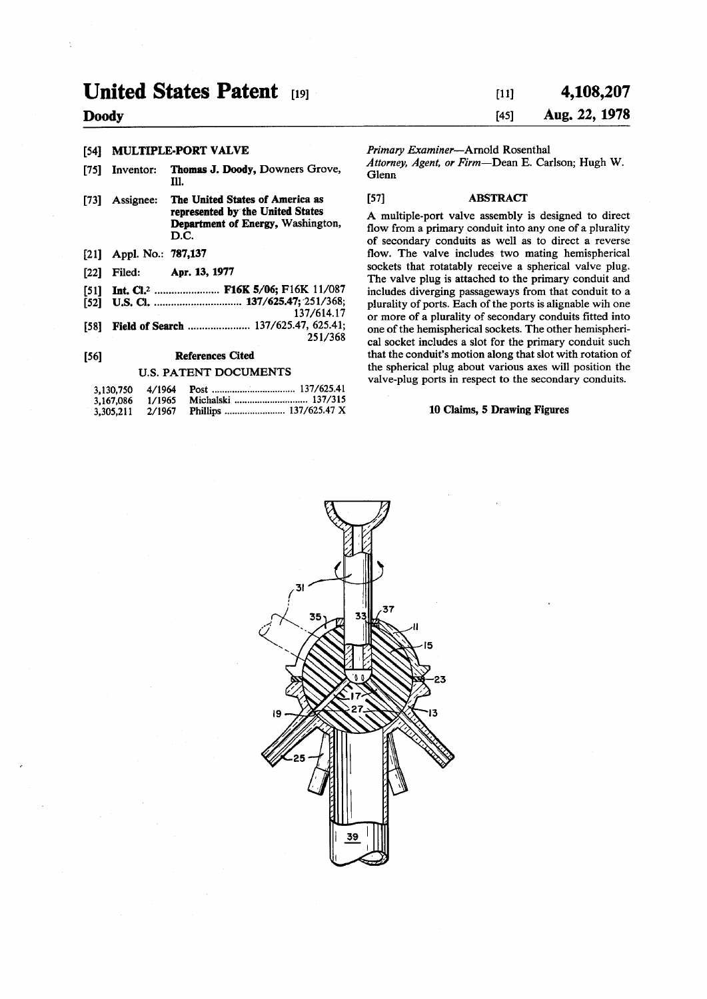# **United States Patent 191**

# **Doody**

# [54] MULTIPLE-PORT VALVE

- [75] Inventor: Thomas J. Doody, Downers Grove, **111.**
- [73] Assignee: The United States of America as represented by the United States Department of Energy, Washington, D.C.
- [21] Appl. No.: 787,137
- [22] Filed: Apr. 13,1977
- [51] Int. Cl.<sup>2</sup> ...................... F16K 5/06; F16K 11/087
- [52] U.S. CI 137/625.47; 251/368;
	- 137/614.17
- [58] Field of Search ......................... 137/625.47, 625.41; 251/368

#### [56] References Cited

#### U.S. PATENT DOCUMENTS

| 3,130,750 4/1964 |        |  |
|------------------|--------|--|
| 3.167.086        | 1/1965 |  |
| 3,305,211        | 2/1967 |  |

# **[ii] 4,108,207 [45] Aug. 22, 1978**

#### *Primary Examiner*—Arnold Rosenthal

*Attorney, Agent, or Firm*—Dean E. Carlson; Hugh W. Glenn

#### [57] ABSTRACT

A multiple-port valve assembly is designed to direct flow from a primary conduit into any one of a plurality of secondary conduits as well as to direct a reverse flow. The valve includes two mating hemispherical sockets that rotatably receive a spherical valve plug. The valve plug is attached to the primary conduit and includes diverging passageways from that conduit to a plurality of ports. Each of the ports is alignable wih one or more of a plurality of secondary conduits fitted into one of the hemispherical sockets. The other hemispherical socket includes a slot for the primary conduit such that the conduit's motion along that slot with rotation of the spherical plug about various axes will position the valve-plug ports in respect to the secondary conduits.

#### 10 Claims, 5 Drawing Figures

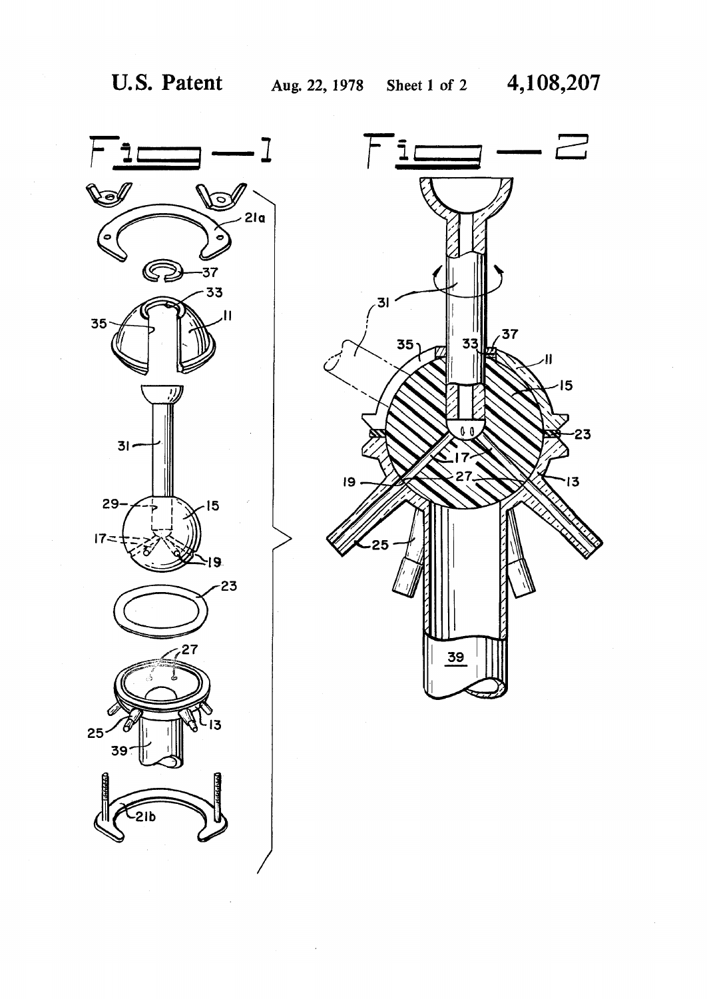

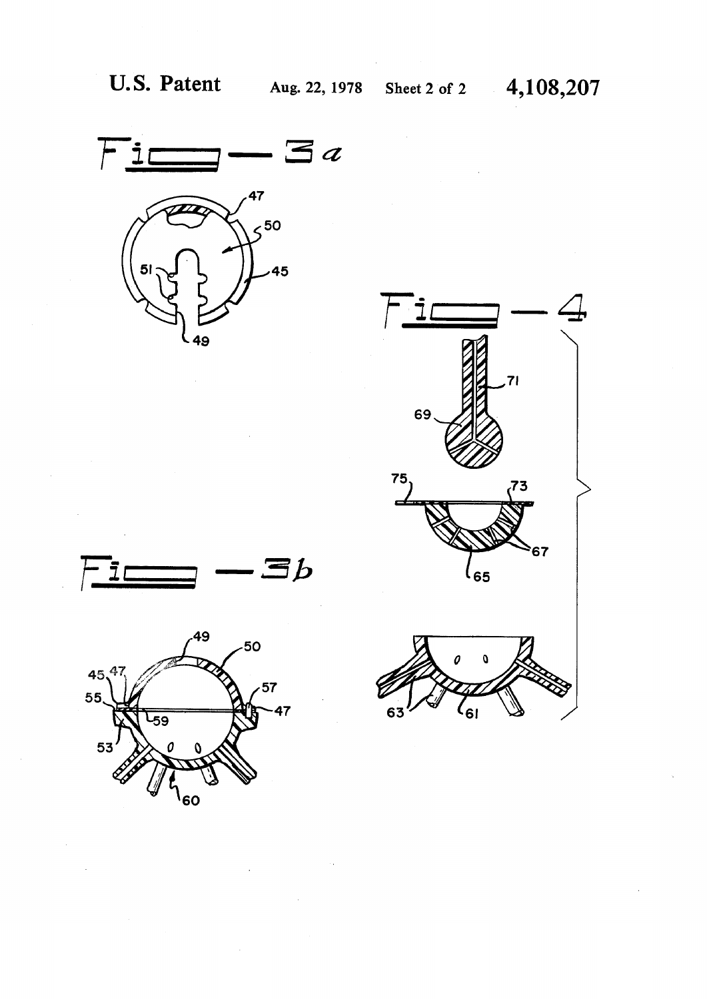









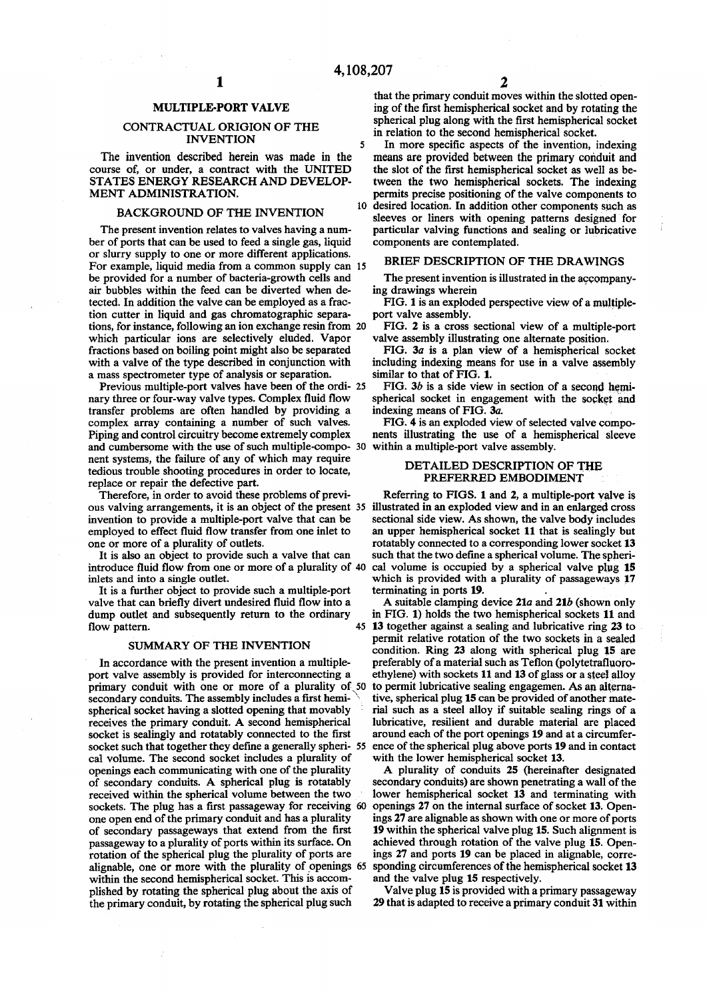### MULTIPLE-PORT VALVE

## CONTRACTUAL ORIGION OF THE INVENTION<sub>5</sub>

The invention described herein was made in the course of, or under, a contract with the UNITED STATES ENERGY RESEARCH AND DEVELOP-MENT ADMINISTRATION.

#### BACKGROUND OF THE INVENTION

The present invention relates to valves having a number of ports that can be used to feed a single gas, liquid or slurry supply to one or more different applications. For example, liquid media from a common supply can 15 be provided for a number of bacteria-growth cells and air bubbles within the feed can be diverted when detected. In addition the valve can be employed as a fraction cutter in liquid and gas chromatographic separations, for instance, following an ion exchange resin from 20 which particular ions are selectively eluded. Vapor fractions based on boiling point might also be separated with a valve of the type described in conjunction with a mass spectrometer type of analysis or separation.

Previous multiple-port valves have been of the ordi- 25 nary three or four-way valve types. Complex fluid flow transfer problems are often handled by providing a complex array containing a number of such valves. Piping and control circuitry become extremely complex and cumbersome with the use of such multiple-compo- 30 nent systems, the failure of any of which may require tedious trouble shooting procedures in order to locate, replace or repair the defective part.

Therefore, in order to avoid these problems of previous valving arrangements, it is an object of the present 35 invention to provide a multiple-port valve that can be employed to effect fluid flow transfer from one inlet to one or more of a plurality of outlets.

It is also an object to provide such a valve that can introduce fluid flow from one or more of a plurality of 40 inlets and into a single outlet.

It is a further object to provide such a multiple-port valve that can briefly divert undesired fluid flow into a dump outlet and subsequently return to the ordinary flow pattern. 45

#### SUMMARY OF THE INVENTION

In accordance with the present invention a multipleport valve assembly is provided for interconnecting a primary conduit with one or more of a plurality of, 50 secondary conduits. The assembly includes a first hemispherical socket having a slotted opening that movably receives the primary conduit. A second hemispherical socket is sealingly and rotatably connected to the first socket such that together they define a generally spheri- 55 cal volume. The second socket includes a plurality of openings each communicating with one of the plurality of secondary conduits. A spherical plug is rotatably received within the spherical volume between the two sockets. The plug has a first passageway for receiving 60 one open end of the primary conduit and has a plurality of secondary passageways that extend from the first passageway to a plurality of ports within its surface. On rotation of the spherical plug the plurality of ports are alignable, one or more with the plurality of openings 65 within the second hemispherical socket. This is accomplished by rotating the spherical plug about the axis of the primary conduit, by rotating the spherical plug such

that the primary conduit moves within the slotted opening of the first hemispherical socket and by rotating the spherical plug along with the first hemispherical socket in relation to the second hemispherical socket.

10 desired location. In addition other components such as In more specific aspects of the invention, indexing means are provided between the primary conduit and the slot of the first hemispherical socket as well as between the two hemispherical sockets. The indexing permits precise positioning of the valve components to sleeves or liners with opening patterns designed for particular valving functions and sealing or lubricative components are contemplated.

#### BRIEF DESCRIPTION OF THE DRAWINGS

The present invention is illustrated in the accompanying drawings wherein

FIG. 1 is an exploded perspective view of a multipleport valve assembly.

FIG. 2 is a cross sectional view of a multiple-port valve assembly illustrating one alternate position.

FIG. 3a is a plan view of a hemispherical socket including indexing means for use in a valve assembly similar to that of FIG. 1.

FIG.  $3b$  is a side view in section of a second hemispherical socket in engagement with the socket and indexing means of FIG. *3a.* 

FIG. 4 is an exploded view of selected valve components illustrating the use of a hemispherical sleeve within a multiple-port valve assembly.

#### DETAILED DESCRIPTION OF THE PREFERRED EMBODIMENT

Referring to FIGS. 1 and 2, a multiple-port valve is illustrated in an exploded view and in an enlarged cross sectional side view. As shown, the valve body includes an upper hemispherical socket 11 that is sealingly but rotatably connected to a corresponding lower socket 13 such that the two define a spherical volume. The spherical volume is occupied by a spherical valve plug 15 which is provided with a plurality of passageways 17 terminating in ports 19.

A suitable clamping device 21a and 21b (shown only in FIG. 1) holds the two hemispherical sockets 11 and 13 together against a sealing and lubricative ring 23 to permit relative rotation of the two sockets in a sealed condition. Ring 23 along with spherical plug 15 are preferably of a material such as Teflon (polytetrafluoroethylene) with sockets 11 and 13 of glass or a steel alloy to permit lubricative sealing engagemen. As an alternative, spherical plug 15 can be provided of another material such as a steel alloy if suitable sealing rings of a lubricative, resilient and durable material are placed around each of the port openings 19 and at a circumference of the spherical plug above ports 19 and in contact with the lower hemispherical socket 13.

A plurality of conduits 25 (hereinafter designated secondary conduits) are shown penetrating a wall of the lower hemispherical socket 13 and terminating with openings 27 on the internal surface of socket 13. Openings 27 are alignable as shown with one or more of ports 19 within the spherical valve plug 15. Such alignment is achieved through rotation of the valve plug 15. Openings 27 and ports 19 can be placed in alignable, corresponding circumferences of the hemispherical socket 13 and the valve plug 15 respectively.

Valve plug 15 is provided with a primary passageway 29 that is adapted to receive a primary conduit 31 within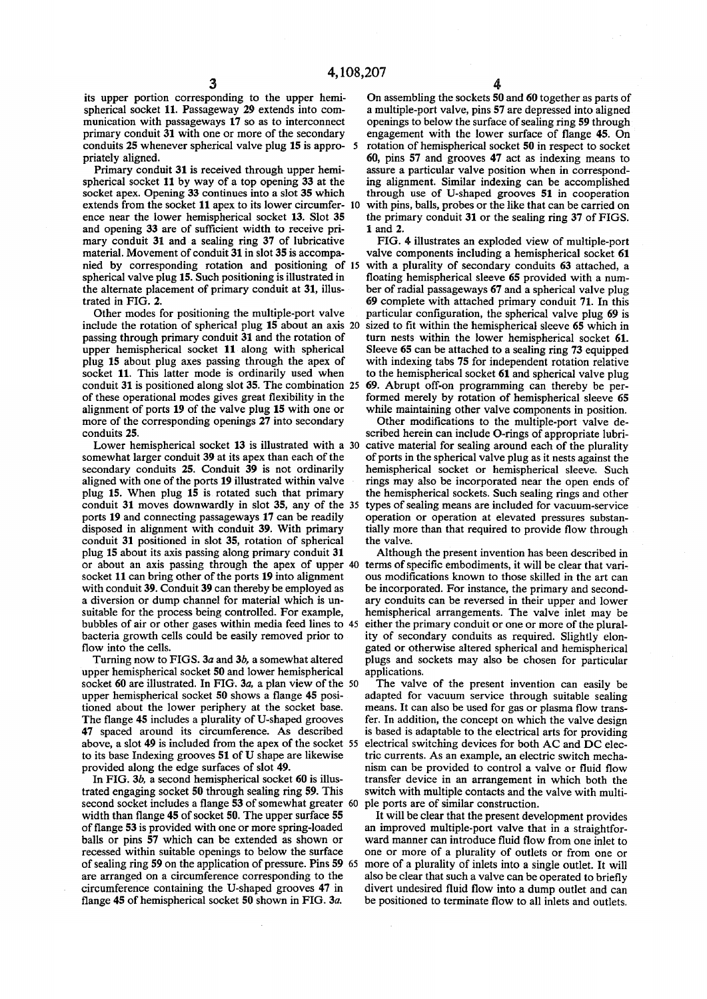its upper portion corresponding to the upper hemispherical socket 11. Passageway 29 extends into communication with passageways 17 so as to interconnect primary conduit 31 with one or more of the secondary conduits 25 whenever spherical valve plug 15 is appro- 5 priately aligned.

Primary conduit 31 is received through upper hemispherical socket 11 by way of a top opening 33 at the socket apex. Opening 33 continues into a slot 35 which extends from the socket 11 apex to its lower circumfer- 10 ence near the lower hemispherical socket 13. Slot 35 and opening 33 are of sufficient width to receive primary conduit 31 and a sealing ring 37 of lubricative material. Movement of conduit 31 in slot 35 is accompanied by corresponding rotation and positioning of 15 spherical valve plug 15. Such positioning is illustrated in the alternate placement of primary conduit at 31, illustrated in FIG. 2.

Other modes for positioning the multiple-port valve include the rotation of spherical plug 15 about an axis 20 passing through primary conduit 31 and the rotation of upper hemispherical socket 11 along with spherical plug 15 about plug axes passing through the apex of socket 11. This latter mode is ordinarily used when conduit 31 is positioned along slot 35. The combination 25 of these operational modes gives great flexibility in the alignment of ports 19 of the valve plug 15 with one or more of the corresponding openings 27 into secondary conduits 25.

Lower hemispherical socket 13 is illustrated with a 30 somewhat larger conduit 39 at its apex than each of the secondary conduits 25. Conduit 39 is not ordinarily aligned with one of the ports 19 illustrated within valve plug 15. When plug 15 is rotated such that primary conduit 31 moves downwardly in slot 35, any of the 35 ports 19 and connecting passageways 17 can be readily disposed in alignment with conduit 39. With primary conduit 31 positioned in slot 35, rotation of spherical plug 15 about its axis passing along primary conduit 31 or about an axis passing through the apex of upper 40 terms of specific embodiments, it will be clear that varisocket 11 can bring other of the ports 19 into alignment with conduit 39. Conduit 39 can thereby be employed as a diversion or dump channel for material which is unsuitable for the process being controlled. For example, bubbles of air or other gases within media feed lines to 45 bacteria growth cells could be easily removed prior to flow into the cells.

Turning now to FIGS. 3a and 3b, a somewhat altered upper hemispherical socket 50 and lower hemispherical socket 60 are illustrated. In FIG. 3*a*, a plan view of the 50 upper hemispherical socket 50 shows a flange 45 positioned about the lower periphery at the socket base. The flange 45 includes a plurality of U-shaped grooves 47 spaced around its circumference. As described above, a slot 49 is included from the apex of the socket 55 to its base Indexing grooves 51 of U shape are likewise provided along the edge surfaces of slot 49.

In FIG. *3b,* a second hemispherical socket 60 is illustrated engaging socket 50 through sealing ring 59. This second socket includes a flange 53 of somewhat greater 60 width than flange 45 of socket 50. The upper surface 55 of flange 53 is provided with one or more spring-loaded balls or pins 57 which can be extended as shown or recessed within suitable openings to below the surface of sealing ring 59 on the application of pressure. Pins 59 65 are arranged on a circumference corresponding to the circumference containing the U-shaped grooves 47 in flange 45 of hemispherical socket 50 shown in FIG. *3a.* 

On assembling the sockets 50 and 60 together as parts of a multiple-port valve, pins 57 are depressed into aligned openings to below the surface of sealing ring 59 through engagement with the lower surface of flange 45. On rotation of hemispherical socket 50 in respect to socket 60, pins 57 and grooves 47 act as indexing means to assure a particular valve position when in corresponding alignment. Similar indexing can be accomplished through use of U-shaped grooves 51 in cooperation with pins, balls, probes or the like that can be carried on the primary conduit 31 or the sealing ring 37 of FIGS. 1 and 2.

FIG. 4 illustrates an exploded view of multiple-port valve components including a hemispherical socket 61 with a plurality of secondary conduits 63 attached, a floating hemispherical sleeve 65 provided with a number of radial passageways 67 and a spherical valve plug 69 complete with attached primary conduit 71. In this particular configuration, the spherical valve plug 69 is sized to fit within the hemispherical sleeve 65 which in turn nests within the lower hemispherical socket 61. Sleeve 65 can be attached to a sealing ring 73 equipped with indexing tabs 75 for independent rotation relative to the hemispherical socket 61 and spherical valve plug 69. Abrupt off-on programming can thereby be performed merely by rotation of hemispherical sleeve 65 while maintaining other valve components in position.

Other modifications to the multiple-port valve described herein can include O-rings of appropriate lubricative material for sealing around each of the plurality of ports in the spherical valve plug as it nests against the hemispherical socket or hemispherical sleeve. Such rings may also be incorporated near the open ends of the hemispherical sockets. Such sealing rings and other types of sealing means are included for vacuum-service operation or operation at elevated pressures substantially more than that required to provide flow through the valve.

Although the present invention has been described in ous modifications known to those skilled in the art can be incorporated. For instance, the primary and secondary conduits can be reversed in their upper and lower hemispherical arrangements. The valve inlet may be either the primary conduit or one or more of the plurality of secondary conduits as required. Slightly elongated or otherwise altered spherical and hemispherical plugs and sockets may also be chosen for particular applications.

The valve of the present invention can easily be adapted for vacuum service through suitable sealing means. It can also be used for gas or plasma flow transfer. In addition, the concept on which the valve design is based is adaptable to the electrical arts for providing electrical switching devices for both AC and DC electric currents. As an example, an electric switch mechanism can be provided to control a valve or fluid flow transfer device in an arrangement in which both the switch with multiple contacts and the valve with multiple ports are of similar construction.

It will be clear that the present development provides an improved multiple-port valve that in a straightforward manner can introduce fluid flow from one inlet to one or more of a plurality of outlets or from one or more of a plurality of inlets into a single outlet. It will also be clear that such a valve can be operated to briefly divert undesired fluid flow into a dump outlet and can be positioned to terminate flow to all inlets and outlets.